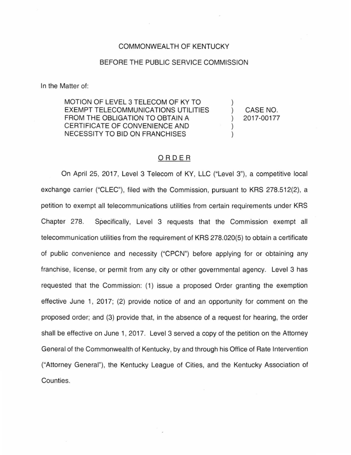## COMMONWEALTH OF KENTUCKY

## BEFORE THE PUBLIC SERVICE COMMISSION

In the Matter of:

MOTION OF LEVEL 3 TELECOM OF KY TO EXEMPT TELECOMMUNICATIONS UTILITIES FROM THE OBLIGATION TO OBTAIN A CERTIFICATE OF CONVENIENCE AND NECESSITY TO BID ON FRANCHISES

CASE NO. 2017-00177

 $\mathcal{E}$  $\mathcal{E}$  $\mathcal{E}$ 

## ORDER

On April 25, 2017, Level 3 Telecom of KY, LLC ("Level 3"), a competitive local exchange carrier ("CLEC"), filed with the Commission, pursuant to KRS 278.512(2), a petition to exempt all telecommunications utilities from certain requirements under KRS Chapter 278. Specifically, Level 3 requests that the Commission exempt all telecommunication utilities from the requirement of KRS 278.020(5) to obtain a certificate of public convenience and necessity ("CPCN") before applying for or obtaining any franchise, license, or permit from any city or other governmental agency. Level 3 has requested that the Commission: (1) issue a proposed Order granting the exemption effective June 1, 2017; (2) provide notice of and an opportunity for comment on the proposed order; and (3) provide that, in the absence of a request for hearing, the order shall be effective on June 1, 2017. Level 3 served a copy of the petition on the Attorney General of the Commonwealth of Kentucky, by and through his Office of Rate Intervention ("Attorney General"), the Kentucky League of Cities, and the Kentucky Association of Counties.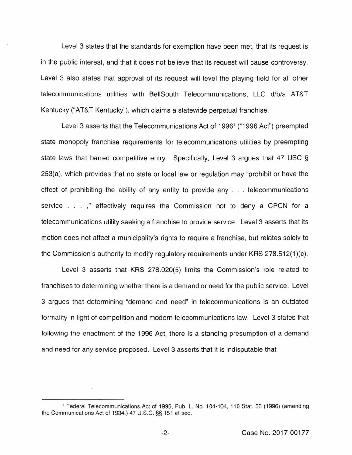Level 3 states that the standards for exemption have been met, that its request is in the public interest, and that it does not believe that its request will cause controversy. Level 3 also states that approval of its request will level the playing field for all other telecommunications utilities with BeiiSouth Telecommunications, LLC d/b/a AT&T Kentucky ("AT&T Kentucky"), which claims a statewide perpetual franchise.

Level 3 asserts that the Telecommunications Act of 1996<sup>1</sup> ("1996 Act") preempted state monopoly franchise requirements for telecommunications utilities by preempting state laws that barred competitive entry. Specifically, Level 3 argues that 47 USC § 253(a), which provides that no state or local law or regulation may "prohibit or have the effect of prohibiting the ability of any entity to provide any . . . telecommunications service . . . ," effectively requires the Commission not to deny a CPCN for a telecommunications utility seeking a franchise to provide service. Level 3 asserts that its motion does not affect a municipality's rights to require a franchise, but relates solely to the Commission's authority to modify regulatory requirements under KRS 278.512(1 )(c).

Level 3 asserts that KRS 278.020(5) limits the Commission's role related to franchises to determining whether there is a demand or need for the public service. Level 3 argues that determining "demand and need" in telecommunications is an outdated formality in light of competition and modern telecommunications law. Level 3 states that following the enactment of the 1996 Act, there is a standing presumption of a demand and need for any service proposed. Level 3 asserts that it is indisputable that

<sup>1</sup>Federal Telecommunications Act of 1996, Pub. L. No. 104-104, 110 Stat. 56 (1996) (amending the Communications Act of 1934,) 47 U.S.C. §§ 151 et seq.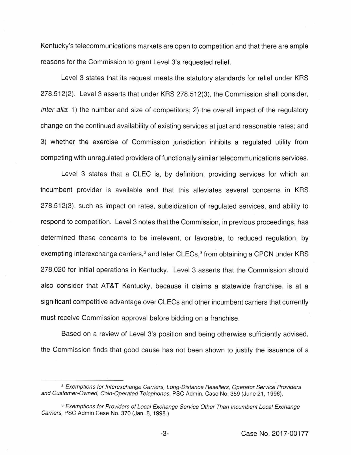Kentucky's telecommunications markets are open to competition and that there are ample reasons for the Commission to grant Level 3's requested relief.

Level 3 states that its request meets the statutory standards for relief under KRS 278.512(2). Level 3 asserts that under KRS 278.512(3), the Commission shall consider, inter alia: 1) the number and size of competitors; 2) the overall impact of the regulatory change on the continued availability of existing services at just and reasonable rates; and 3) whether the exercise of Commission jurisdiction inhibits a regulated utility from competing with unregulated providers of functionally similar telecommunications services.

Level 3 states that a CLEC is, by definition, providing services for which an incumbent provider is available and that this alleviates several concerns in KRS 278.512(3), such as impact on rates, subsidization of regulated services, and ability to respond to competition. Level 3 notes that the Commission, in previous proceedings, has determined these concerns to be irrelevant, or favorable, to reduced regulation, by exempting interexchange carriers,<sup>2</sup> and later CLECs,<sup>3</sup> from obtaining a CPCN under KRS 278.020 for initial operations in Kentucky. Level 3 asserts that the Commission should also consider that AT&T Kentucky, because it claims a statewide franchise, is at a significant competitive advantage over CLECs and other incumbent carriers that currently must receive Commission approval before bidding on a franchise.

Based on a review of Level 3's position and being otherwise sufficiently advised, the Commission finds that good cause has not been shown to justify the issuance of a

<sup>&</sup>lt;sup>2</sup> Exemptions for Interexchange Carriers, Long-Distance Resellers, Operator Service Providers and Customer-Owned, Coin-Operated Telephones, PSC Admin. Case No. 359 (June 21, 1996).

<sup>&</sup>lt;sup>3</sup> Exemptions for Providers of Local Exchange Service Other Than Incumbent Local Exchange Carriers, PSC Admin Case No. 370 (Jan. 8, 1998.)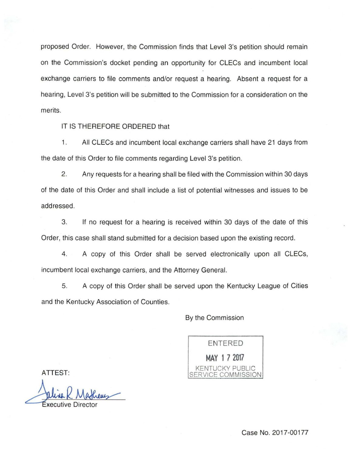proposed Order. However, the Commission finds that Level 3's petition should remain on the Commission's docket pending an opportunity for CLECs and incumbent local exchange carriers to file comments and/or request a hearing. Absent a request for a hearing, Level 3's petition will be submitted to the Commission for a consideration on the merits.

IT IS THEREFORE ORDERED that

1. All CLECs and incumbent local exchange carriers shall have 21 days from the date of this Order to file comments regarding Level 3's petition.

2. Any requests for a hearing shall be filed with the Commission within 30 days of the date of this Order and shall include a list of potential witnesses and issues to be addressed.

3. If no request for a hearing is received within 30 days of the date of this Order, this case shall stand submitted for a decision based upon the existing record.

4. A copy of this Order shall be served electronically upon all CLECs, incumbent local exchange carriers, and the Attorney General.

5. A copy of this Order shall be served upon the Kentucky League of Cities and the Kentucky Association of Counties.

By the Commission

ENTERED **MAY 1 7 2017**  KENTUCKY PUBLIC SERVICE COMMISSION

ATTEST:

Jaline R. Matheus